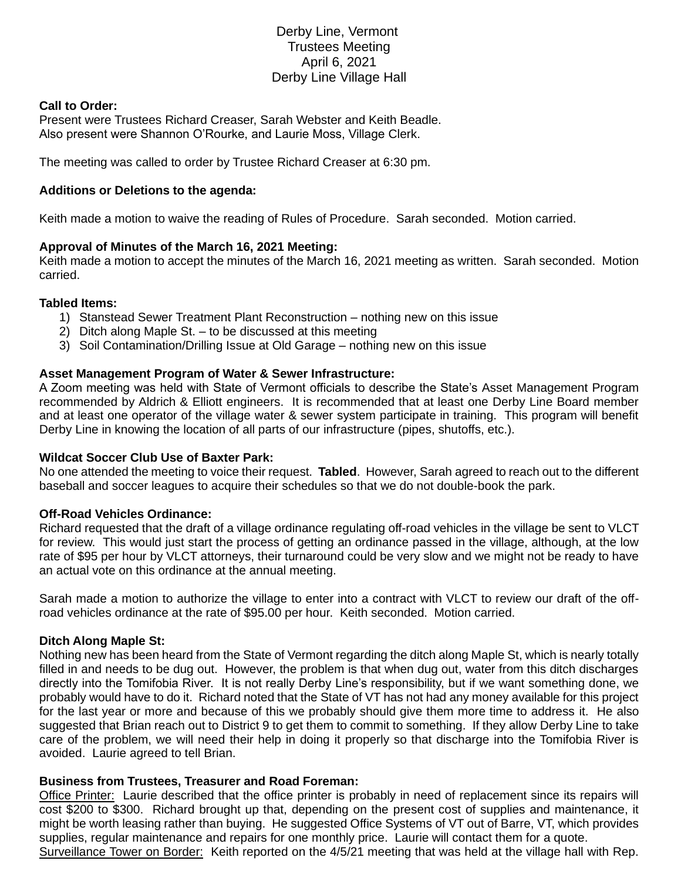# Derby Line, Vermont Trustees Meeting April 6, 2021 Derby Line Village Hall

#### **Call to Order:**

Present were Trustees Richard Creaser, Sarah Webster and Keith Beadle. Also present were Shannon O'Rourke, and Laurie Moss, Village Clerk.

The meeting was called to order by Trustee Richard Creaser at 6:30 pm.

## **Additions or Deletions to the agenda:**

Keith made a motion to waive the reading of Rules of Procedure. Sarah seconded. Motion carried.

## **Approval of Minutes of the March 16, 2021 Meeting:**

Keith made a motion to accept the minutes of the March 16, 2021 meeting as written. Sarah seconded. Motion carried.

#### **Tabled Items:**

- 1) Stanstead Sewer Treatment Plant Reconstruction nothing new on this issue
- 2) Ditch along Maple St. to be discussed at this meeting
- 3) Soil Contamination/Drilling Issue at Old Garage nothing new on this issue

## **Asset Management Program of Water & Sewer Infrastructure:**

A Zoom meeting was held with State of Vermont officials to describe the State's Asset Management Program recommended by Aldrich & Elliott engineers. It is recommended that at least one Derby Line Board member and at least one operator of the village water & sewer system participate in training. This program will benefit Derby Line in knowing the location of all parts of our infrastructure (pipes, shutoffs, etc.).

#### **Wildcat Soccer Club Use of Baxter Park:**

No one attended the meeting to voice their request. **Tabled**. However, Sarah agreed to reach out to the different baseball and soccer leagues to acquire their schedules so that we do not double-book the park.

#### **Off-Road Vehicles Ordinance:**

Richard requested that the draft of a village ordinance regulating off-road vehicles in the village be sent to VLCT for review. This would just start the process of getting an ordinance passed in the village, although, at the low rate of \$95 per hour by VLCT attorneys, their turnaround could be very slow and we might not be ready to have an actual vote on this ordinance at the annual meeting.

Sarah made a motion to authorize the village to enter into a contract with VLCT to review our draft of the offroad vehicles ordinance at the rate of \$95.00 per hour. Keith seconded. Motion carried.

#### **Ditch Along Maple St:**

Nothing new has been heard from the State of Vermont regarding the ditch along Maple St, which is nearly totally filled in and needs to be dug out. However, the problem is that when dug out, water from this ditch discharges directly into the Tomifobia River. It is not really Derby Line's responsibility, but if we want something done, we probably would have to do it. Richard noted that the State of VT has not had any money available for this project for the last year or more and because of this we probably should give them more time to address it. He also suggested that Brian reach out to District 9 to get them to commit to something. If they allow Derby Line to take care of the problem, we will need their help in doing it properly so that discharge into the Tomifobia River is avoided. Laurie agreed to tell Brian.

#### **Business from Trustees, Treasurer and Road Foreman:**

Office Printer: Laurie described that the office printer is probably in need of replacement since its repairs will cost \$200 to \$300. Richard brought up that, depending on the present cost of supplies and maintenance, it might be worth leasing rather than buying. He suggested Office Systems of VT out of Barre, VT, which provides supplies, regular maintenance and repairs for one monthly price. Laurie will contact them for a quote. Surveillance Tower on Border: Keith reported on the 4/5/21 meeting that was held at the village hall with Rep.